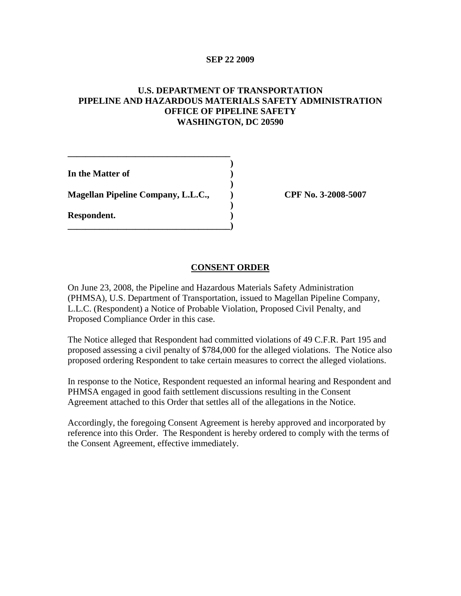## **SEP 22 2009**

## **U.S. DEPARTMENT OF TRANSPORTATION PIPELINE AND HAZARDOUS MATERIALS SAFETY ADMINISTRATION OFFICE OF PIPELINE SAFETY WASHINGTON, DC 20590**

| Respondent.                               |  |
|-------------------------------------------|--|
| <b>Magellan Pipeline Company, L.L.C.,</b> |  |
| In the Matter of                          |  |

**\_\_\_\_\_\_\_\_\_\_\_\_\_\_\_\_\_\_\_\_\_\_\_\_\_\_\_\_\_\_\_\_\_\_\_\_**

**Magellan Pipeline Company, L.L.C., ) CPF No. 3-2008-5007**

## **CONSENT ORDER**

On June 23, 2008, the Pipeline and Hazardous Materials Safety Administration (PHMSA), U.S. Department of Transportation, issued to Magellan Pipeline Company, L.L.C. (Respondent) a Notice of Probable Violation, Proposed Civil Penalty, and Proposed Compliance Order in this case.

The Notice alleged that Respondent had committed violations of 49 C.F.R. Part 195 and proposed assessing a civil penalty of \$784,000 for the alleged violations. The Notice also proposed ordering Respondent to take certain measures to correct the alleged violations.

In response to the Notice, Respondent requested an informal hearing and Respondent and PHMSA engaged in good faith settlement discussions resulting in the Consent Agreement attached to this Order that settles all of the allegations in the Notice.

Accordingly, the foregoing Consent Agreement is hereby approved and incorporated by reference into this Order. The Respondent is hereby ordered to comply with the terms of the Consent Agreement, effective immediately.